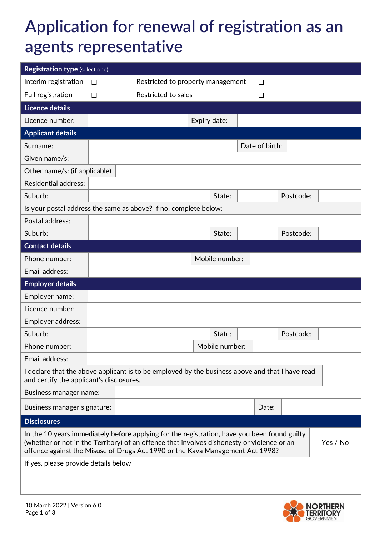## **Application for renewal of registration as an agents representative**

| <b>Registration type (select one)</b>                                                                                                                                                                                                                                                   |        |                                                                  |              |                |                |       |           |  |  |
|-----------------------------------------------------------------------------------------------------------------------------------------------------------------------------------------------------------------------------------------------------------------------------------------|--------|------------------------------------------------------------------|--------------|----------------|----------------|-------|-----------|--|--|
| Interim registration                                                                                                                                                                                                                                                                    | П      | Restricted to property management<br>ΙI                          |              |                |                |       |           |  |  |
| Full registration                                                                                                                                                                                                                                                                       | $\Box$ | Restricted to sales<br>□                                         |              |                |                |       |           |  |  |
| Licence details                                                                                                                                                                                                                                                                         |        |                                                                  |              |                |                |       |           |  |  |
| Licence number:                                                                                                                                                                                                                                                                         |        |                                                                  | Expiry date: |                |                |       |           |  |  |
| <b>Applicant details</b>                                                                                                                                                                                                                                                                |        |                                                                  |              |                |                |       |           |  |  |
| Surname:                                                                                                                                                                                                                                                                                |        |                                                                  |              |                | Date of birth: |       |           |  |  |
| Given name/s:                                                                                                                                                                                                                                                                           |        |                                                                  |              |                |                |       |           |  |  |
| Other name/s: (if applicable)                                                                                                                                                                                                                                                           |        |                                                                  |              |                |                |       |           |  |  |
| <b>Residential address:</b>                                                                                                                                                                                                                                                             |        |                                                                  |              |                |                |       |           |  |  |
| Suburb:                                                                                                                                                                                                                                                                                 |        |                                                                  |              | State:         |                |       | Postcode: |  |  |
|                                                                                                                                                                                                                                                                                         |        | Is your postal address the same as above? If no, complete below: |              |                |                |       |           |  |  |
| Postal address:                                                                                                                                                                                                                                                                         |        |                                                                  |              |                |                |       |           |  |  |
| Suburb:                                                                                                                                                                                                                                                                                 |        |                                                                  |              | State:         |                |       | Postcode: |  |  |
| <b>Contact details</b>                                                                                                                                                                                                                                                                  |        |                                                                  |              |                |                |       |           |  |  |
| Phone number:                                                                                                                                                                                                                                                                           |        |                                                                  |              | Mobile number: |                |       |           |  |  |
| Email address:                                                                                                                                                                                                                                                                          |        |                                                                  |              |                |                |       |           |  |  |
| <b>Employer details</b>                                                                                                                                                                                                                                                                 |        |                                                                  |              |                |                |       |           |  |  |
| Employer name:                                                                                                                                                                                                                                                                          |        |                                                                  |              |                |                |       |           |  |  |
| Licence number:                                                                                                                                                                                                                                                                         |        |                                                                  |              |                |                |       |           |  |  |
| Employer address:                                                                                                                                                                                                                                                                       |        |                                                                  |              |                |                |       |           |  |  |
| Suburb:                                                                                                                                                                                                                                                                                 |        |                                                                  |              | State:         |                |       | Postcode: |  |  |
| Phone number:                                                                                                                                                                                                                                                                           |        |                                                                  |              | Mobile number: |                |       |           |  |  |
| Email address:                                                                                                                                                                                                                                                                          |        |                                                                  |              |                |                |       |           |  |  |
| I declare that the above applicant is to be employed by the business above and that I have read<br>and certify the applicant's disclosures.                                                                                                                                             |        |                                                                  |              |                |                |       |           |  |  |
| Business manager name:                                                                                                                                                                                                                                                                  |        |                                                                  |              |                |                |       |           |  |  |
| Business manager signature:                                                                                                                                                                                                                                                             |        |                                                                  |              |                |                | Date: |           |  |  |
| <b>Disclosures</b>                                                                                                                                                                                                                                                                      |        |                                                                  |              |                |                |       |           |  |  |
| In the 10 years immediately before applying for the registration, have you been found guilty<br>Yes / No<br>(whether or not in the Territory) of an offence that involves dishonesty or violence or an<br>offence against the Misuse of Drugs Act 1990 or the Kava Management Act 1998? |        |                                                                  |              |                |                |       |           |  |  |
| If yes, please provide details below                                                                                                                                                                                                                                                    |        |                                                                  |              |                |                |       |           |  |  |

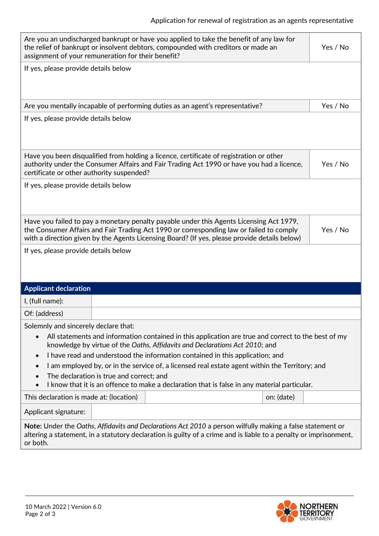| Are you an undischarged bankrupt or have you applied to take the benefit of any law for<br>Yes / No<br>the relief of bankrupt or insolvent debtors, compounded with creditors or made an                                                                                                       |  |  |  |  |  |  |  |
|------------------------------------------------------------------------------------------------------------------------------------------------------------------------------------------------------------------------------------------------------------------------------------------------|--|--|--|--|--|--|--|
| assignment of your remuneration for their benefit?                                                                                                                                                                                                                                             |  |  |  |  |  |  |  |
| If yes, please provide details below                                                                                                                                                                                                                                                           |  |  |  |  |  |  |  |
|                                                                                                                                                                                                                                                                                                |  |  |  |  |  |  |  |
| Are you mentally incapable of performing duties as an agent's representative?<br>Yes / No                                                                                                                                                                                                      |  |  |  |  |  |  |  |
| If yes, please provide details below                                                                                                                                                                                                                                                           |  |  |  |  |  |  |  |
|                                                                                                                                                                                                                                                                                                |  |  |  |  |  |  |  |
| Have you been disqualified from holding a licence, certificate of registration or other<br>authority under the Consumer Affairs and Fair Trading Act 1990 or have you had a licence,<br>Yes / No<br>certificate or other authority suspended?                                                  |  |  |  |  |  |  |  |
| If yes, please provide details below                                                                                                                                                                                                                                                           |  |  |  |  |  |  |  |
|                                                                                                                                                                                                                                                                                                |  |  |  |  |  |  |  |
| Have you failed to pay a monetary penalty payable under this Agents Licensing Act 1979,<br>Yes / No<br>the Consumer Affairs and Fair Trading Act 1990 or corresponding law or failed to comply<br>with a direction given by the Agents Licensing Board? (If yes, please provide details below) |  |  |  |  |  |  |  |
| If yes, please provide details below                                                                                                                                                                                                                                                           |  |  |  |  |  |  |  |
|                                                                                                                                                                                                                                                                                                |  |  |  |  |  |  |  |
| <b>Applicant declaration</b>                                                                                                                                                                                                                                                                   |  |  |  |  |  |  |  |
| I, (full name):                                                                                                                                                                                                                                                                                |  |  |  |  |  |  |  |
| Of: (address)                                                                                                                                                                                                                                                                                  |  |  |  |  |  |  |  |
| Solemnly and sincerely declare that:                                                                                                                                                                                                                                                           |  |  |  |  |  |  |  |
| All statements and information contained in this application are true and correct to the best of my<br>knowledge by virtue of the Oaths, Affidavits and Declarations Act 2010; and                                                                                                             |  |  |  |  |  |  |  |
| I have read and understood the information contained in this application; and<br>$\bullet$                                                                                                                                                                                                     |  |  |  |  |  |  |  |
| I am employed by, or in the service of, a licensed real estate agent within the Territory; and<br>$\bullet$                                                                                                                                                                                    |  |  |  |  |  |  |  |
| The declaration is true and correct; and<br>I know that it is an offence to make a declaration that is false in any material particular.                                                                                                                                                       |  |  |  |  |  |  |  |
| This declaration is made at: (location)<br>on: (date)                                                                                                                                                                                                                                          |  |  |  |  |  |  |  |
| Applicant signature:                                                                                                                                                                                                                                                                           |  |  |  |  |  |  |  |
| Note: Under the Oaths, Affidavits and Declarations Act 2010 a person wilfully making a false statement or<br>altering a statement, in a statutory declaration is guilty of a crime and is liable to a penalty or imprisonment,<br>or both.                                                     |  |  |  |  |  |  |  |